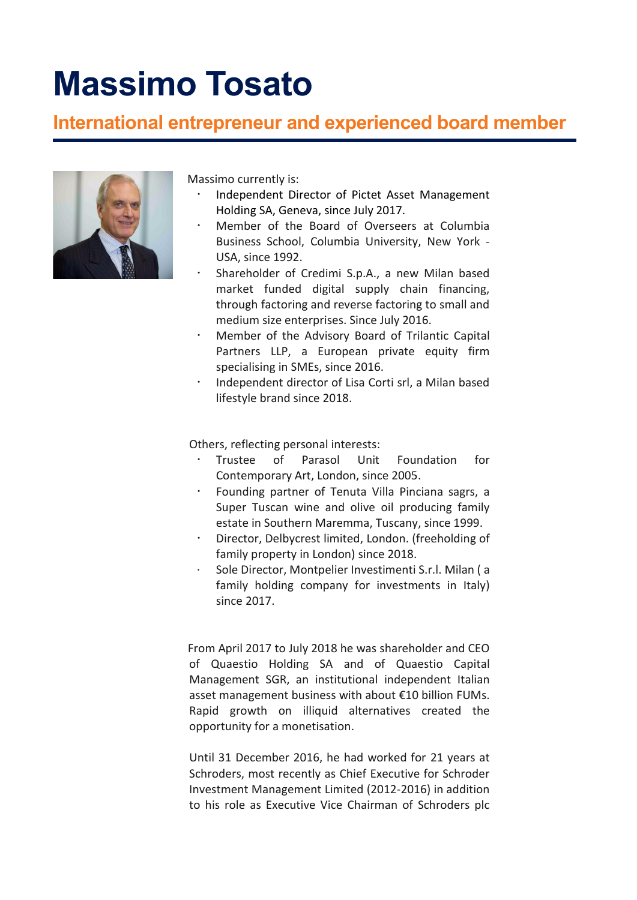## **Massimo Tosato**

## **International entrepreneur and experienced board member**



Massimo currently is:

- Independent Director of Pictet Asset Management Holding SA, Geneva, since July 2017.
- Member of the Board of Overseers at Columbia Business School, Columbia University, New York - USA, since 1992.
- Shareholder of Credimi S.p.A., a new Milan based market funded digital supply chain financing, through factoring and reverse factoring to small and medium size enterprises. Since July 2016.
- Member of the Advisory Board of Trilantic Capital Partners LLP, a European private equity firm specialising in SMEs, since 2016.
- Independent director of Lisa Corti srl, a Milan based lifestyle brand since 2018.

Others, reflecting personal interests:

- Trustee of Parasol Unit Foundation for Contemporary Art, London, since 2005.
- Founding partner of Tenuta Villa Pinciana sagrs, a Super Tuscan wine and olive oil producing family estate in Southern Maremma, Tuscany, since 1999.
- Director, Delbycrest limited, London. (freeholding of family property in London) since 2018.
- Sole Director, Montpelier Investimenti S.r.l. Milan ( a family holding company for investments in Italy) since 2017.

 From April 2017 to July 2018 he was shareholder and CEO of Quaestio Holding SA and of Quaestio Capital Management SGR, an institutional independent Italian asset management business with about €10 billion FUMs. Rapid growth on illiquid alternatives created the opportunity for a monetisation.

Until 31 December 2016, he had worked for 21 years at Schroders, most recently as Chief Executive for Schroder Investment Management Limited (2012-2016) in addition to his role as Executive Vice Chairman of Schroders plc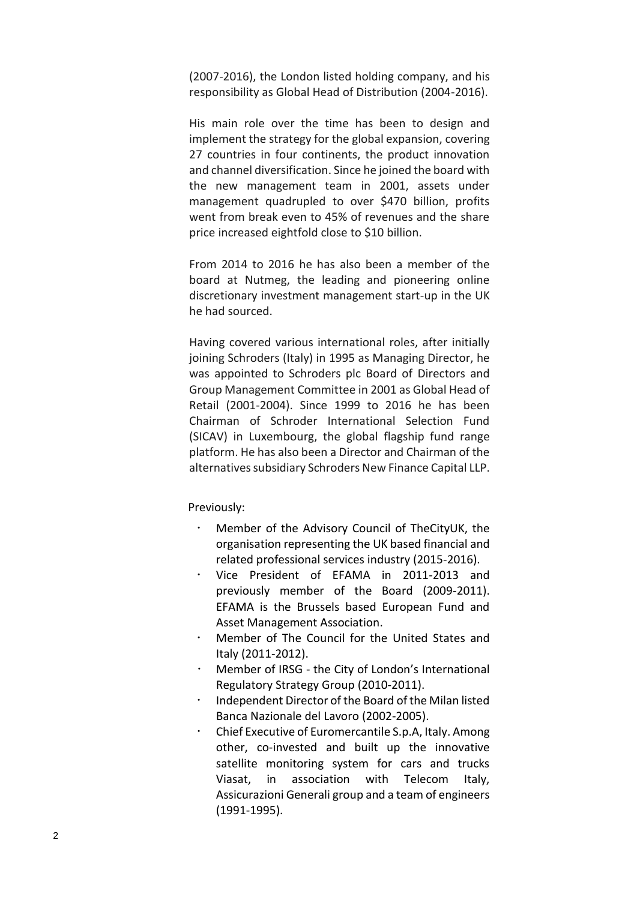(2007-2016), the London listed holding company, and his responsibility as Global Head of Distribution (2004-2016).

His main role over the time has been to design and implement the strategy for the global expansion, covering 27 countries in four continents, the product innovation and channel diversification. Since he joined the board with the new management team in 2001, assets under management quadrupled to over \$470 billion, profits went from break even to 45% of revenues and the share price increased eightfold close to \$10 billion.

From 2014 to 2016 he has also been a member of the board at Nutmeg, the leading and pioneering online discretionary investment management start-up in the UK he had sourced.

Having covered various international roles, after initially joining Schroders (Italy) in 1995 as Managing Director, he was appointed to Schroders plc Board of Directors and Group Management Committee in 2001 as Global Head of Retail (2001-2004). Since 1999 to 2016 he has been Chairman of Schroder International Selection Fund (SICAV) in Luxembourg, the global flagship fund range platform. He has also been a Director and Chairman of the alternatives subsidiary Schroders New Finance Capital LLP.

Previously:

- Member of the Advisory Council of TheCityUK, the organisation representing the UK based financial and related professional services industry (2015-2016).
- Vice President of EFAMA in 2011-2013 and previously member of the Board (2009-2011). EFAMA is the Brussels based European Fund and Asset Management Association.
- Member of The Council for the United States and Italy (2011-2012).
- Member of IRSG the City of London's International Regulatory Strategy Group (2010-2011).
- Independent Director of the Board of the Milan listed Banca Nazionale del Lavoro (2002-2005).
- Chief Executive of Euromercantile S.p.A, Italy. Among other, co-invested and built up the innovative satellite monitoring system for cars and trucks Viasat, in association with Telecom Italy, Assicurazioni Generali group and a team of engineers (1991-1995).